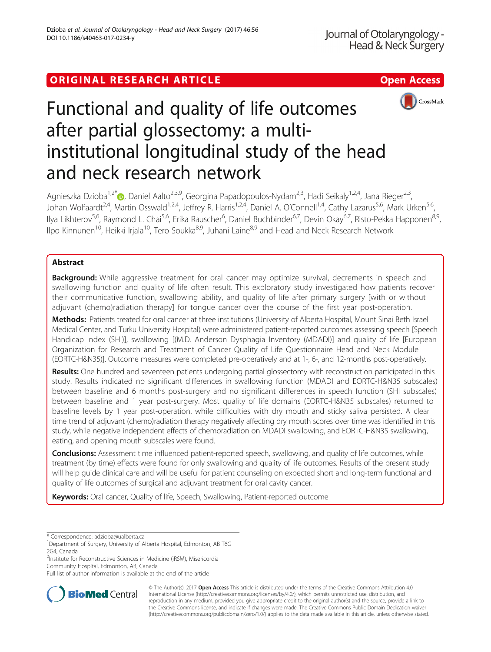# ORIGINAL RESEARCH ARTICLE **Solution Contract Contract Contract Contract Contract Contract Contract Contract Contract Contract Contract Contract Contract Contract Contract Contract Contract Contract Contract Contract Contra**



# Functional and quality of life outcomes after partial glossectomy: a multiinstitutional longitudinal study of the head and neck research network

Agnieszka Dzioba<sup>1[,](http://orcid.org/0000-0002-7609-5988)2\*</sup> (b. Daniel Aalto<sup>2,3,9</sup>, Georgina Papadopoulos-Nydam<sup>2,3</sup>, Hadi Seikaly<sup>1,2,4</sup>, Jana Rieger<sup>2,3</sup>, Johan Wolfaardt<sup>2,4</sup>, Martin Osswald<sup>1,2,4</sup>, Jeffrey R. Harris<sup>1,2,4</sup>, Daniel A. O'Connell<sup>1,4</sup>, Cathy Lazarus<sup>5,6</sup>, Mark Urken<sup>5,6</sup>, Ilya Likhterov<sup>5,6</sup>, Raymond L. Chai<sup>5,6</sup>, Erika Rauscher<sup>6</sup>, Daniel Buchbinder<sup>6,7</sup>, Devin Okay<sup>6,7</sup>, Risto-Pekka Happonen<sup>8,9</sup>, Ilpo Kinnunen<sup>10</sup>, Heikki Irjala<sup>10</sup>, Tero Soukka<sup>8,9</sup>, Juhani Laine<sup>8,9</sup> and Head and Neck Research Network

## Abstract

**Background:** While aggressive treatment for oral cancer may optimize survival, decrements in speech and swallowing function and quality of life often result. This exploratory study investigated how patients recover their communicative function, swallowing ability, and quality of life after primary surgery [with or without adjuvant (chemo)radiation therapy] for tongue cancer over the course of the first year post-operation.

Methods: Patients treated for oral cancer at three institutions (University of Alberta Hospital, Mount Sinai Beth Israel Medical Center, and Turku University Hospital) were administered patient-reported outcomes assessing speech [Speech Handicap Index (SHI)], swallowing [(M.D. Anderson Dysphagia Inventory (MDADI)] and quality of life [European Organization for Research and Treatment of Cancer Quality of Life Questionnaire Head and Neck Module (EORTC-H&N35)]. Outcome measures were completed pre-operatively and at 1-, 6-, and 12-months post-operatively.

Results: One hundred and seventeen patients undergoing partial glossectomy with reconstruction participated in this study. Results indicated no significant differences in swallowing function (MDADI and EORTC-H&N35 subscales) between baseline and 6 months post-surgery and no significant differences in speech function (SHI subscales) between baseline and 1 year post-surgery. Most quality of life domains (EORTC-H&N35 subscales) returned to baseline levels by 1 year post-operation, while difficulties with dry mouth and sticky saliva persisted. A clear time trend of adjuvant (chemo)radiation therapy negatively affecting dry mouth scores over time was identified in this study, while negative independent effects of chemoradiation on MDADI swallowing, and EORTC-H&N35 swallowing, eating, and opening mouth subscales were found.

Conclusions: Assessment time influenced patient-reported speech, swallowing, and quality of life outcomes, while treatment (by time) effects were found for only swallowing and quality of life outcomes. Results of the present study will help guide clinical care and will be useful for patient counseling on expected short and long-term functional and quality of life outcomes of surgical and adjuvant treatment for oral cavity cancer.

Keywords: Oral cancer, Quality of life, Speech, Swallowing, Patient-reported outcome

<sup>2</sup>Institute for Reconstructive Sciences in Medicine (iRSM), Misericordia Community Hospital, Edmonton, AB, Canada

Full list of author information is available at the end of the article



© The Author(s). 2017 **Open Access** This article is distributed under the terms of the Creative Commons Attribution 4.0 International License [\(http://creativecommons.org/licenses/by/4.0/](http://creativecommons.org/licenses/by/4.0/)), which permits unrestricted use, distribution, and reproduction in any medium, provided you give appropriate credit to the original author(s) and the source, provide a link to the Creative Commons license, and indicate if changes were made. The Creative Commons Public Domain Dedication waiver [\(http://creativecommons.org/publicdomain/zero/1.0/](http://creativecommons.org/publicdomain/zero/1.0/)) applies to the data made available in this article, unless otherwise stated.

<sup>\*</sup> Correspondence: [adzioba@ualberta.ca](mailto:adzioba@ualberta.ca) <sup>1</sup>

Department of Surgery, University of Alberta Hospital, Edmonton, AB T6G 2G4, Canada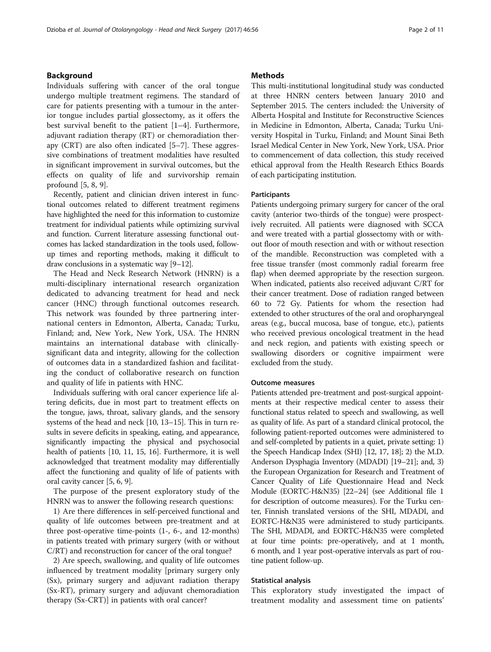#### Background

Individuals suffering with cancer of the oral tongue undergo multiple treatment regimens. The standard of care for patients presenting with a tumour in the anterior tongue includes partial glossectomy, as it offers the best survival benefit to the patient [[1](#page-9-0)–[4\]](#page-9-0). Furthermore, adjuvant radiation therapy (RT) or chemoradiation therapy (CRT) are also often indicated [\[5](#page-9-0)–[7](#page-9-0)]. These aggressive combinations of treatment modalities have resulted in significant improvement in survival outcomes, but the effects on quality of life and survivorship remain profound [[5, 8, 9\]](#page-9-0).

Recently, patient and clinician driven interest in functional outcomes related to different treatment regimens have highlighted the need for this information to customize treatment for individual patients while optimizing survival and function. Current literature assessing functional outcomes has lacked standardization in the tools used, followup times and reporting methods, making it difficult to draw conclusions in a systematic way [\[9](#page-9-0)–[12](#page-9-0)].

The Head and Neck Research Network (HNRN) is a multi-disciplinary international research organization dedicated to advancing treatment for head and neck cancer (HNC) through functional outcomes research. This network was founded by three partnering international centers in Edmonton, Alberta, Canada; Turku, Finland; and, New York, New York, USA. The HNRN maintains an international database with clinicallysignificant data and integrity, allowing for the collection of outcomes data in a standardized fashion and facilitating the conduct of collaborative research on function and quality of life in patients with HNC.

Individuals suffering with oral cancer experience life altering deficits, due in most part to treatment effects on the tongue, jaws, throat, salivary glands, and the sensory systems of the head and neck [\[10](#page-9-0), [13](#page-9-0)–[15](#page-9-0)]. This in turn results in severe deficits in speaking, eating, and appearance, significantly impacting the physical and psychosocial health of patients [\[10](#page-9-0), [11](#page-9-0), [15, 16\]](#page-9-0). Furthermore, it is well acknowledged that treatment modality may differentially affect the functioning and quality of life of patients with oral cavity cancer [\[5, 6](#page-9-0), [9\]](#page-9-0).

The purpose of the present exploratory study of the HNRN was to answer the following research questions:

1) Are there differences in self-perceived functional and quality of life outcomes between pre-treatment and at three post-operative time-points (1-, 6-, and 12-months) in patients treated with primary surgery (with or without C/RT) and reconstruction for cancer of the oral tongue?

2) Are speech, swallowing, and quality of life outcomes influenced by treatment modality [primary surgery only (Sx), primary surgery and adjuvant radiation therapy (Sx-RT), primary surgery and adjuvant chemoradiation therapy (Sx-CRT)] in patients with oral cancer?

#### **Methods**

This multi-institutional longitudinal study was conducted at three HNRN centers between January 2010 and September 2015. The centers included: the University of Alberta Hospital and Institute for Reconstructive Sciences in Medicine in Edmonton, Alberta, Canada; Turku University Hospital in Turku, Finland; and Mount Sinai Beth Israel Medical Center in New York, New York, USA. Prior to commencement of data collection, this study received ethical approval from the Health Research Ethics Boards of each participating institution.

#### **Participants**

Patients undergoing primary surgery for cancer of the oral cavity (anterior two-thirds of the tongue) were prospectively recruited. All patients were diagnosed with SCCA and were treated with a partial glossectomy with or without floor of mouth resection and with or without resection of the mandible. Reconstruction was completed with a free tissue transfer (most commonly radial forearm free flap) when deemed appropriate by the resection surgeon. When indicated, patients also received adjuvant C/RT for their cancer treatment. Dose of radiation ranged between 60 to 72 Gy. Patients for whom the resection had extended to other structures of the oral and oropharyngeal areas (e.g., buccal mucosa, base of tongue, etc.), patients who received previous oncological treatment in the head and neck region, and patients with existing speech or swallowing disorders or cognitive impairment were excluded from the study.

#### Outcome measures

Patients attended pre-treatment and post-surgical appointments at their respective medical center to assess their functional status related to speech and swallowing, as well as quality of life. As part of a standard clinical protocol, the following patient-reported outcomes were administered to and self-completed by patients in a quiet, private setting: 1) the Speech Handicap Index (SHI) [\[12, 17](#page-9-0), [18](#page-9-0)]; 2) the M.D. Anderson Dysphagia Inventory (MDADI) [\[19](#page-9-0)–[21](#page-9-0)]; and, 3) the European Organization for Research and Treatment of Cancer Quality of Life Questionnaire Head and Neck Module (EORTC-H&N35) [\[22](#page-9-0)–[24](#page-9-0)] (see Additional file [1](#page-8-0) for description of outcome measures). For the Turku center, Finnish translated versions of the SHI, MDADI, and EORTC-H&N35 were administered to study participants. The SHI, MDADI, and EORTC-H&N35 were completed at four time points: pre-operatively, and at 1 month, 6 month, and 1 year post-operative intervals as part of routine patient follow-up.

#### Statistical analysis

This exploratory study investigated the impact of treatment modality and assessment time on patients'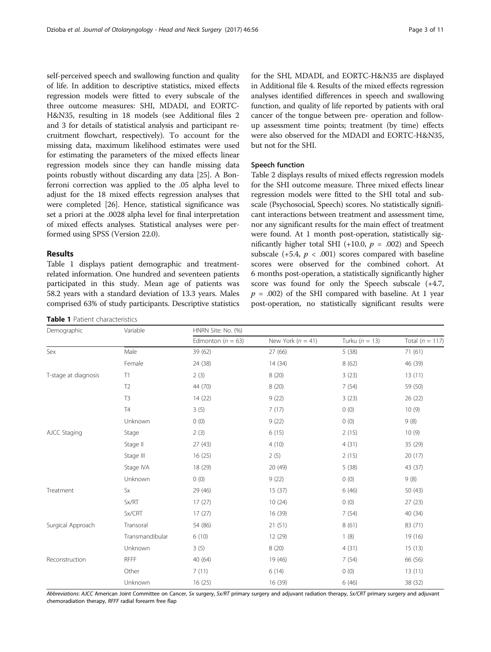self-perceived speech and swallowing function and quality of life. In addition to descriptive statistics, mixed effects regression models were fitted to every subscale of the three outcome measures: SHI, MDADI, and EORTC-H&N35, resulting in 18 models (see Additional files [2](#page-8-0) and [3](#page-8-0) for details of statistical analysis and participant recruitment flowchart, respectively). To account for the missing data, maximum likelihood estimates were used for estimating the parameters of the mixed effects linear regression models since they can handle missing data points robustly without discarding any data [[25](#page-9-0)]. A Bonferroni correction was applied to the .05 alpha level to adjust for the 18 mixed effects regression analyses that were completed [\[26\]](#page-9-0). Hence, statistical significance was set a priori at the .0028 alpha level for final interpretation of mixed effects analyses. Statistical analyses were performed using SPSS (Version 22.0).

#### Results

Table 1 displays patient demographic and treatmentrelated information. One hundred and seventeen patients participated in this study. Mean age of patients was 58.2 years with a standard deviation of 13.3 years. Males comprised 63% of study participants. Descriptive statistics

| Table 1 Patient characteristics |  |
|---------------------------------|--|
|                                 |  |

for the SHI, MDADI, and EORTC-H&N35 are displayed in Additional file [4.](#page-8-0) Results of the mixed effects regression analyses identified differences in speech and swallowing function, and quality of life reported by patients with oral cancer of the tongue between pre- operation and followup assessment time points; treatment (by time) effects were also observed for the MDADI and EORTC-H&N35, but not for the SHI.

#### Speech function

Table [2](#page-3-0) displays results of mixed effects regression models for the SHI outcome measure. Three mixed effects linear regression models were fitted to the SHI total and subscale (Psychosocial, Speech) scores. No statistically significant interactions between treatment and assessment time, nor any significant results for the main effect of treatment were found. At 1 month post-operation, statistically significantly higher total SHI (+10.0,  $p = .002$ ) and Speech subscale  $(+5.4, p < .001)$  scores compared with baseline scores were observed for the combined cohort. At 6 months post-operation, a statistically significantly higher score was found for only the Speech subscale (+4.7,  $p = .002$ ) of the SHI compared with baseline. At 1 year post-operation, no statistically significant results were

| Demographic          | Variable        | HNRN Site: No. (%)    |                       |                    |                     |  |  |  |
|----------------------|-----------------|-----------------------|-----------------------|--------------------|---------------------|--|--|--|
|                      |                 | Edmonton ( $n = 63$ ) | New York ( $n = 41$ ) | Turku ( $n = 13$ ) | Total ( $n = 117$ ) |  |  |  |
| Sex                  | Male            | 39 (62)               | 27 (66)               | 5(38)              | 71(61)              |  |  |  |
|                      | Female          | 24 (38)               | 14(34)                | 8(62)              | 46 (39)             |  |  |  |
| T-stage at diagnosis | T1              | 2(3)                  | 8(20)                 | 3(23)              | 13(11)              |  |  |  |
|                      | T <sub>2</sub>  | 44 (70)               | 8(20)                 | 7(54)              | 59 (50)             |  |  |  |
|                      | T <sub>3</sub>  | 14(22)                | 9(22)                 | 3(23)              | 26 (22)             |  |  |  |
|                      | <b>T4</b>       | 3(5)                  | 7(17)                 | 0(0)               | 10(9)               |  |  |  |
|                      | Unknown         | 0(0)                  | 9(22)                 | 0(0)               | 9(8)                |  |  |  |
| AJCC Staging         | Stage           | 2(3)                  | 6(15)                 | 2(15)              | 10(9)               |  |  |  |
|                      | Stage II        | 27(43)                | 4(10)                 | 4(31)              | 35 (29)             |  |  |  |
|                      | Stage III       | 16(25)                | 2(5)                  | 2(15)              | 20 (17)             |  |  |  |
|                      | Stage IVA       | 18 (29)               | 20 (49)               | 5(38)              | 43 (37)             |  |  |  |
|                      | Unknown         | 0(0)                  | 9(22)                 | 0(0)               | 9(8)                |  |  |  |
| Treatment            | <b>Sx</b>       | 29 (46)               | 15(37)                | 6(46)              | 50 (43)             |  |  |  |
|                      | Sx/RT           | 17(27)                | 10(24)                | 0(0)               | 27(23)              |  |  |  |
|                      | Sx/CRT          | 17(27)                | 16 (39)               | 7(54)              | 40 (34)             |  |  |  |
| Surgical Approach    | Transoral       | 54 (86)               | 21(51)                | 8(61)              | 83 (71)             |  |  |  |
|                      | Transmandibular | 6(10)                 | 12 (29)               | 1(8)               | 19 (16)             |  |  |  |
|                      | Unknown         | 3(5)                  | 8(20)                 | 4(31)              | 15(13)              |  |  |  |
| Reconstruction       | <b>RFFF</b>     | 40 (64)               | 19 (46)               | 7(54)              | 66 (56)             |  |  |  |
|                      | Other           | 7(11)                 | 6(14)                 | 0(0)               | 13(11)              |  |  |  |
|                      | Unknown         | 16(25)                | 16 (39)               | 6(46)              | 38 (32)             |  |  |  |

Abbreviations: AJCC American Joint Committee on Cancer, Sx surgery, Sx/RT primary surgery and adjuvant radiation therapy, Sx/CRT primary surgery and adjuvant chemoradiation therapy, RFFF radial forearm free flap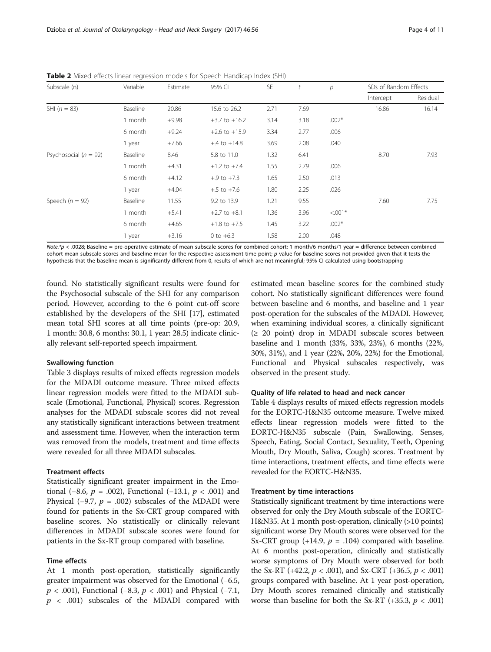| Subscale (n)              | Variable | Estimate | 95% CI            | <b>SE</b> | t    | р         | SDs of Random Effects |          |
|---------------------------|----------|----------|-------------------|-----------|------|-----------|-----------------------|----------|
|                           |          |          |                   |           |      |           | Intercept             | Residual |
| SHI $(n = 83)$            | Baseline | 20.86    | 15.6 to 26.2      | 2.71      | 7.69 |           | 16.86                 | 16.14    |
|                           | 1 month  | $+9.98$  | $+3.7$ to $+16.2$ | 3.14      | 3.18 | $.002*$   |                       |          |
|                           | 6 month  | $+9.24$  | $+2.6$ to $+15.9$ | 3.34      | 2.77 | .006      |                       |          |
|                           | 1 year   | $+7.66$  | $+.4$ to $+14.8$  | 3.69      | 2.08 | .040      |                       |          |
| Psychosocial ( $n = 92$ ) | Baseline | 8.46     | 5.8 to 11.0       | 1.32      | 6.41 |           | 8.70                  | 7.93     |
|                           | 1 month  | $+4.31$  | $+1.2$ to $+7.4$  | 1.55      | 2.79 | .006      |                       |          |
|                           | 6 month  | $+4.12$  | $+.9$ to $+7.3$   | 1.65      | 2.50 | .013      |                       |          |
|                           | 1 year   | $+4.04$  | $+.5$ to $+7.6$   | 1.80      | 2.25 | .026      |                       |          |
| Speech ( $n = 92$ )       | Baseline | 11.55    | 9.2 to 13.9       | 1.21      | 9.55 |           | 7.60                  | 7.75     |
|                           | 1 month  | $+5.41$  | $+2.7$ to $+8.1$  | 1.36      | 3.96 | $< 0.01*$ |                       |          |
|                           | 6 month  | $+4.65$  | $+1.8$ to $+7.5$  | 1.45      | 3.22 | $.002*$   |                       |          |
|                           | 1 year   | $+3.16$  | 0 to $+6.3$       | 1.58      | 2.00 | .048      |                       |          |

<span id="page-3-0"></span>Table 2 Mixed effects linear regression models for Speech Handicap Index (SHI)

Note.\*p < .0028; Baseline = pre-operative estimate of mean subscale scores for combined cohort; 1 month/6 months/1 year = difference between combined cohort mean subscale scores and baseline mean for the respective assessment time point; p-value for baseline scores not provided given that it tests the hypothesis that the baseline mean is significantly different from 0, results of which are not meaningful; 95% CI calculated using bootstrapping

found. No statistically significant results were found for the Psychosocial subscale of the SHI for any comparison period. However, according to the 6 point cut-off score established by the developers of the SHI [\[17\]](#page-9-0), estimated mean total SHI scores at all time points (pre-op: 20.9, 1 month: 30.8, 6 months: 30.1, 1 year: 28.5) indicate clinically relevant self-reported speech impairment.

#### Swallowing function

Table [3](#page-4-0) displays results of mixed effects regression models for the MDADI outcome measure. Three mixed effects linear regression models were fitted to the MDADI subscale (Emotional, Functional, Physical) scores. Regression analyses for the MDADI subscale scores did not reveal any statistically significant interactions between treatment and assessment time. However, when the interaction term was removed from the models, treatment and time effects were revealed for all three MDADI subscales.

#### Treatment effects

Statistically significant greater impairment in the Emotional (−8.6,  $p = .002$ ), Functional (−13.1,  $p < .001$ ) and Physical (−9.7,  $p = .002$ ) subscales of the MDADI were found for patients in the Sx-CRT group compared with baseline scores. No statistically or clinically relevant differences in MDADI subscale scores were found for patients in the Sx-RT group compared with baseline.

#### Time effects

At 1 month post-operation, statistically significantly greater impairment was observed for the Emotional (−6.5,  $p < .001$ ), Functional (−8.3,  $p < .001$ ) and Physical (−7.1,  $p \sim .001$ ) subscales of the MDADI compared with

estimated mean baseline scores for the combined study cohort. No statistically significant differences were found between baseline and 6 months, and baseline and 1 year post-operation for the subscales of the MDADI. However, when examining individual scores, a clinically significant (≥ 20 point) drop in MDADI subscale scores between baseline and 1 month (33%, 33%, 23%), 6 months (22%, 30%, 31%), and 1 year (22%, 20%, 22%) for the Emotional, Functional and Physical subscales respectively, was observed in the present study.

#### Quality of life related to head and neck cancer

Table [4](#page-5-0) displays results of mixed effects regression models for the EORTC-H&N35 outcome measure. Twelve mixed effects linear regression models were fitted to the EORTC-H&N35 subscale (Pain, Swallowing, Senses, Speech, Eating, Social Contact, Sexuality, Teeth, Opening Mouth, Dry Mouth, Saliva, Cough) scores. Treatment by time interactions, treatment effects, and time effects were revealed for the EORTC-H&N35.

#### Treatment by time interactions

Statistically significant treatment by time interactions were observed for only the Dry Mouth subscale of the EORTC-H&N35. At 1 month post-operation, clinically (>10 points) significant worse Dry Mouth scores were observed for the Sx-CRT group  $(+14.9, p = .104)$  compared with baseline. At 6 months post-operation, clinically and statistically worse symptoms of Dry Mouth were observed for both the Sx-RT (+42.2,  $p < .001$ ), and Sx-CRT (+36.5,  $p < .001$ ) groups compared with baseline. At 1 year post-operation, Dry Mouth scores remained clinically and statistically worse than baseline for both the Sx-RT  $(+35.3, p < .001)$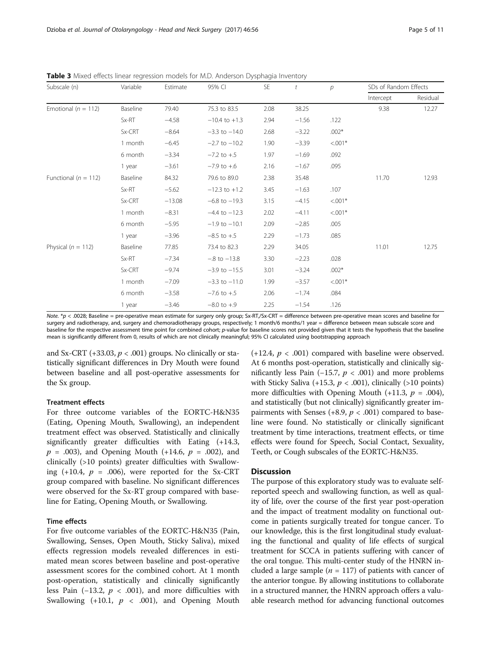| Subscale (n)             | Variable | Estimate | 95% CI            | SE   | t       | р          | SDs of Random Effects |          |
|--------------------------|----------|----------|-------------------|------|---------|------------|-----------------------|----------|
|                          |          |          |                   |      |         |            | Intercept             | Residual |
| Emotional ( $n = 112$ )  | Baseline | 79.40    | 75.3 to 83.5      | 2.08 | 38.25   |            | 9.38                  | 12.27    |
|                          | Sx-RT    | $-4.58$  | $-10.4$ to $+1.3$ | 2.94 | $-1.56$ | .122       |                       |          |
|                          | Sx-CRT   | $-8.64$  | $-3.3$ to $-14.0$ | 2.68 | $-3.22$ | $.002*$    |                       |          |
|                          | 1 month  | $-6.45$  | $-2.7$ to $-10.2$ | 1.90 | $-3.39$ | $< 0.01*$  |                       |          |
|                          | 6 month  | $-3.34$  | $-7.2$ to $+.5$   | 1.97 | $-1.69$ | .092       |                       |          |
|                          | 1 year   | $-3.61$  | $-7.9$ to $+.6$   | 2.16 | $-1.67$ | .095       |                       |          |
| Functional ( $n = 112$ ) | Baseline | 84.32    | 79.6 to 89.0      | 2.38 | 35.48   |            | 11.70                 | 12.93    |
|                          | Sx-RT    | $-5.62$  | $-12.3$ to $+1.2$ | 3.45 | $-1.63$ | .107       |                       |          |
|                          | Sx-CRT   | $-13.08$ | $-6.8$ to $-19.3$ | 3.15 | $-4.15$ | $< 0.01*$  |                       |          |
|                          | 1 month  | $-8.31$  | $-4.4$ to $-12.3$ | 2.02 | $-4.11$ | $< 0.01*$  |                       |          |
|                          | 6 month  | $-5.95$  | $-1.9$ to $-10.1$ | 2.09 | $-2.85$ | .005       |                       |          |
|                          | 1 year   | $-3.96$  | $-8.5$ to $+.5$   | 2.29 | $-1.73$ | .085       |                       |          |
| Physical ( $n = 112$ )   | Baseline | 77.85    | 73.4 to 82.3      | 2.29 | 34.05   |            | 11.01                 | 12.75    |
|                          | Sx-RT    | $-7.34$  | $-.8$ to $-13.8$  | 3.30 | $-2.23$ | .028       |                       |          |
|                          | Sx-CRT   | $-9.74$  | $-3.9$ to $-15.5$ | 3.01 | $-3.24$ | $.002*$    |                       |          |
|                          | 1 month  | $-7.09$  | $-3.3$ to $-11.0$ | 1.99 | $-3.57$ | $< 0.001*$ |                       |          |
|                          | 6 month  | $-3.58$  | $-7.6$ to $+.5$   | 2.06 | $-1.74$ | .084       |                       |          |
|                          | 1 year   | $-3.46$  | $-8.0$ to $+.9$   | 2.25 | $-1.54$ | .126       |                       |          |

<span id="page-4-0"></span>Table 3 Mixed effects linear regression models for M.D. Anderson Dysphagia Inventory

Note. \*p < .0028; Baseline = pre-operative mean estimate for surgery only group; Sx-RT,/Sx-CRT = difference between pre-operative mean scores and baseline for surgery and radiotherapy, and, surgery and chemoradiotherapy groups, respectively; 1 month/6 months/1 year = difference between mean subscale score and baseline for the respective assessment time point for combined cohort; p-value for baseline scores not provided given that it tests the hypothesis that the baseline mean is significantly different from 0, results of which are not clinically meaningful; 95% CI calculated using bootstrapping approach

and Sx-CRT (+33.03,  $p < .001$ ) groups. No clinically or statistically significant differences in Dry Mouth were found between baseline and all post-operative assessments for the Sx group.

#### Treatment effects

For three outcome variables of the EORTC-H&N35 (Eating, Opening Mouth, Swallowing), an independent treatment effect was observed. Statistically and clinically significantly greater difficulties with Eating (+14.3,  $p = .003$ ), and Opening Mouth (+14.6,  $p = .002$ ), and clinically (>10 points) greater difficulties with Swallowing  $(+10.4, p = .006)$ , were reported for the Sx-CRT group compared with baseline. No significant differences were observed for the Sx-RT group compared with baseline for Eating, Opening Mouth, or Swallowing.

#### Time effects

For five outcome variables of the EORTC-H&N35 (Pain, Swallowing, Senses, Open Mouth, Sticky Saliva), mixed effects regression models revealed differences in estimated mean scores between baseline and post-operative assessment scores for the combined cohort. At 1 month post-operation, statistically and clinically significantly less Pain (−13.2,  $p < .001$ ), and more difficulties with Swallowing (+10.1,  $p < .001$ ), and Opening Mouth

 $(+12.4, p < .001)$  compared with baseline were observed. At 6 months post-operation, statistically and clinically significantly less Pain (−15.7,  $p$  < .001) and more problems with Sticky Saliva (+15.3,  $p < .001$ ), clinically (>10 points) more difficulties with Opening Mouth  $(+11.3, p = .004)$ , and statistically (but not clinically) significantly greater impairments with Senses (+8.9,  $p < .001$ ) compared to baseline were found. No statistically or clinically significant treatment by time interactions, treatment effects, or time effects were found for Speech, Social Contact, Sexuality, Teeth, or Cough subscales of the EORTC-H&N35.

#### **Discussion**

The purpose of this exploratory study was to evaluate selfreported speech and swallowing function, as well as quality of life, over the course of the first year post-operation and the impact of treatment modality on functional outcome in patients surgically treated for tongue cancer. To our knowledge, this is the first longitudinal study evaluating the functional and quality of life effects of surgical treatment for SCCA in patients suffering with cancer of the oral tongue. This multi-center study of the HNRN included a large sample ( $n = 117$ ) of patients with cancer of the anterior tongue. By allowing institutions to collaborate in a structured manner, the HNRN approach offers a valuable research method for advancing functional outcomes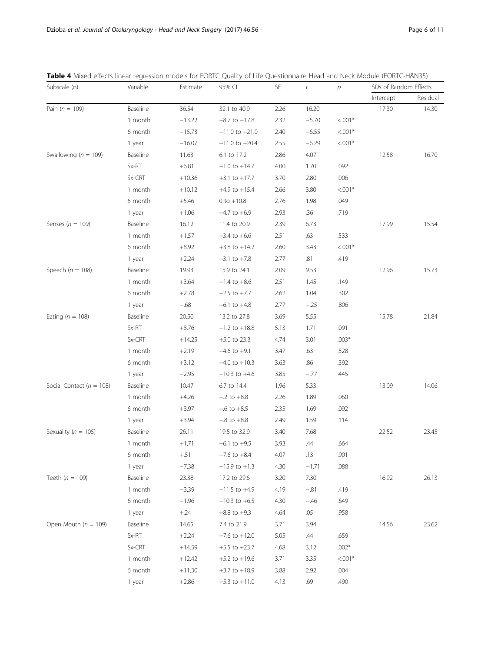| Subscale (n)                 | Variable | Estimate | 95% CI             | <b>SE</b> | $\ddot{\tau}$ | $\mathcal{P}$ | SDs of Random Effects |          |
|------------------------------|----------|----------|--------------------|-----------|---------------|---------------|-----------------------|----------|
|                              |          |          |                    |           |               |               | Intercept             | Residual |
| Pain ( $n = 109$ )           | Baseline | 36.54    | 32.1 to 40.9       | 2.26      | 16.20         |               | 17.30                 | 14.30    |
|                              | 1 month  | $-13.22$ | $-8.7$ to $-17.8$  | 2.32      | $-5.70$       | $< 0.01*$     |                       |          |
|                              | 6 month  | $-15.73$ | $-11.0$ to $-21.0$ | 2.40      | $-6.55$       | $< 0.01*$     |                       |          |
|                              | 1 year   | $-16.07$ | $-11.0$ to $-20.4$ | 2.55      | $-6.29$       | $< 0.01*$     |                       |          |
| Swallowing ( $n = 109$ )     | Baseline | 11.63    | 6.1 to 17.2        | 2.86      | 4.07          |               | 12.58                 | 16.70    |
|                              | Sx-RT    | $+6.81$  | $-1.0$ to $+14.7$  | 4.00      | 1.70          | .092          |                       |          |
|                              | Sx-CRT   | $+10.36$ | $+3.1$ to $+17.7$  | 3.70      | 2.80          | .006          |                       |          |
|                              | 1 month  | $+10.12$ | $+4.9$ to $+15.4$  | 2.66      | 3.80          | $< 0.01*$     |                       |          |
|                              | 6 month  | $+5.46$  | $0$ to $+10.8$     | 2.76      | 1.98          | .049          |                       |          |
|                              | 1 year   | $+1.06$  | $-4.7$ to $+6.9$   | 2.93      | .36           | .719          |                       |          |
| Senses ( $n = 109$ )         | Baseline | 16.12    | 11.4 to 20.9       | 2.39      | 6.73          |               | 17.99                 | 15.54    |
|                              | 1 month  | $+1.57$  | $-3.4$ to $+6.6$   | 2.51      | .63           | .533          |                       |          |
|                              | 6 month  | $+8.92$  | $+3.8$ to $+14.2$  | 2.60      | 3.43          | $< 0.01*$     |                       |          |
|                              | 1 year   | $+2.24$  | $-3.1$ to $+7.8$   | 2.77      | .81           | .419          |                       |          |
| Speech ( $n = 108$ )         | Baseline | 19.93    | 15.9 to 24.1       | 2.09      | 9.53          |               | 12.96                 | 15.73    |
|                              | 1 month  | $+3.64$  | $-1.4$ to $+8.6$   | 2.51      | 1.45          | .149          |                       |          |
|                              | 6 month  | $+2.78$  | $-2.5$ to $+7.7$   | 2.62      | 1.04          | .302          |                       |          |
|                              | 1 year   | $-.68$   | $-6.1$ to $+4.8$   | 2.77      | $-.25$        | .806          |                       |          |
| Eating ( $n = 108$ )         | Baseline | 20.50    | 13.2 to 27.8       | 3.69      | 5.55          |               | 15.78                 | 21.84    |
|                              | Sx-RT    | $+8.76$  | $-1.2$ to $+18.8$  | 5.13      | 1.71          | .091          |                       |          |
|                              | Sx-CRT   | $+14.25$ | $+5.0$ to 23.3     | 4.74      | 3.01          | $.003*$       |                       |          |
|                              | 1 month  | $+2.19$  | $-4.6$ to $+9.1$   | 3.47      | .63           | .528          |                       |          |
|                              | 6 month  | $+3.12$  | $-4.0$ to $+10.3$  | 3.63      | .86           | .392          |                       |          |
|                              | 1 year   | $-2.95$  | $-10.3$ to $+4.6$  | 3.85      | $-.77$        | .445          |                       |          |
| Social Contact ( $n = 108$ ) | Baseline | 10.47    | 6.7 to 14.4        | 1.96      | 5.33          |               | 13.09                 | 14.06    |
|                              | 1 month  | $+4.26$  | $-.2$ to $+8.8$    | 2.26      | 1.89          | .060          |                       |          |
|                              | 6 month  | $+3.97$  | $-.6$ to $+8.5$    | 2.35      | 1.69          | .092          |                       |          |
|                              | 1 year   | $+3.94$  | $-.8$ to $+8.8$    | 2.49      | 1.59          | .114          |                       |          |
| Sexuality ( $n = 105$ )      | Baseline | 26.11    | 19.5 to 32.9       | 3.40      | 7.68          |               | 22.52                 | 23.45    |
|                              | 1 month  | $+1.71$  | $-6.1$ to $+9.5$   | 3.93      | .44           | .664          |                       |          |
|                              | 6 month  | $+.51$   | $-7.6$ to $+8.4$   | 4.07      | .13           | .901          |                       |          |
|                              | 1 year   | $-7.38$  | $-15.9$ to $+1.3$  | 4.30      | $-1.71$       | .088          |                       |          |
| Teeth ( $n = 109$ )          | Baseline | 23.38    | 17.2 to 29.6       | 3.20      | 7.30          |               | 16.92                 | 26.13    |
|                              | 1 month  | $-3.39$  | $-11.5$ to $+4.9$  | 4.19      | $-.81$        | .419          |                       |          |
|                              | 6 month  | $-1.96$  | $-10.3$ to $+6.5$  | 4.30      | $-.46$        | .649          |                       |          |
|                              | 1 year   | $+.24$   | $-8.8$ to $+9.3$   | 4.64      | .05           | .958          |                       |          |
| Open Mouth ( $n = 109$ )     | Baseline | 14.65    | 7.4 to 21.9        | 3.71      | 3.94          |               | 14.56                 | 23.62    |
|                              | Sx-RT    | $+2.24$  | $-7.6$ to $+12.0$  | 5.05      | .44           | .659          |                       |          |
|                              | Sx-CRT   | $+14.59$ | $+5.5$ to $+23.7$  | 4.68      | 3.12          | $.002*$       |                       |          |
|                              | 1 month  | $+12.42$ | $+5.2$ to $+19.6$  | 3.71      | 3.35          | $< 0.01*$     |                       |          |
|                              | 6 month  | $+11.30$ | $+3.7$ to $+18.9$  | 3.88      | 2.92          | .004          |                       |          |
|                              | 1 year   | $+2.86$  | $-5.3$ to $+11.0$  | 4.13      | .69           | .490          |                       |          |

<span id="page-5-0"></span>Table 4 Mixed effects linear regression models for EORTC Quality of Life Questionnaire Head and Neck Module (EORTC-H&N35)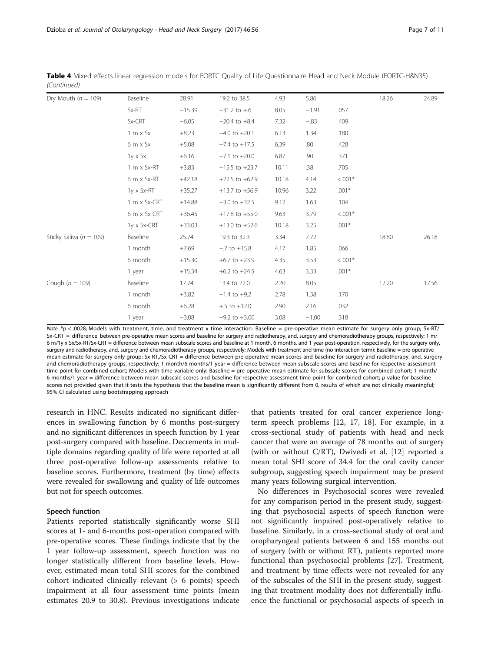| Dry Mouth ( $n = 109$ )     | Baseline                      | 28.91    | 19.2 to 38.5       | 4.93  | 5.86    |            | 18.26 | 24.89 |
|-----------------------------|-------------------------------|----------|--------------------|-------|---------|------------|-------|-------|
|                             | Sx-RT                         | $-15.39$ | $-31.2$ to $+6$    | 8.05  | $-1.91$ | .057       |       |       |
|                             | Sx-CRT                        | $-6.05$  | $-20.4$ to $+8.4$  | 7.32  | $-.83$  | .409       |       |       |
|                             |                               |          |                    |       |         |            |       |       |
|                             | $1 \text{ m} \times S \times$ | $+8.23$  | $-4.0$ to $+20.1$  | 6.13  | 1.34    | .180       |       |       |
|                             | $6m \times Sx$                | $+5.08$  | $-7.4$ to $+17.5$  | 6.39  | .80     | .428       |       |       |
|                             | 1y x Sx                       | $+6.16$  | $-7.1$ to $+20.0$  | 6.87  | .90     | .371       |       |       |
|                             | 1 m x Sx-RT                   | $+3.83$  | $-15.5$ to $+23.7$ | 10.11 | .38     | .705       |       |       |
|                             | 6 m x Sx-RT                   | $+42.18$ | $+22.5$ to $+62.9$ | 10.18 | 4.14    | $< 0.001*$ |       |       |
|                             | $1y \times Sx$ -RT            | $+35.27$ | $+13.7$ to $+56.9$ | 10.96 | 3.22    | $.001*$    |       |       |
|                             | 1 m x Sx-CRT                  | $+14.88$ | $-3.0$ to $+32.5$  | 9.12  | 1.63    | .104       |       |       |
|                             | 6 m x Sx-CRT                  | $+36.45$ | $+17.8$ to $+55.0$ | 9.63  | 3.79    | $< 0.001*$ |       |       |
|                             | 1y x Sx-CRT                   | $+33.03$ | $+13.0$ to $+52.6$ | 10.18 | 3.25    | $.001*$    |       |       |
| Sticky Saliva ( $n = 109$ ) | <b>Baseline</b>               | 25.74    | 19.3 to 32.3       | 3.34  | 7.72    |            | 18.80 | 26.18 |
|                             | 1 month                       | $+7.69$  | $-.7$ to $+15.8$   | 4.17  | 1.85    | .066       |       |       |
|                             | 6 month                       | $+15.30$ | $+6.7$ to $+23.9$  | 4.35  | 3.53    | $< 0.001*$ |       |       |
|                             | 1 year                        | $+15.34$ | $+6.2$ to $+24.5$  | 4.63  | 3.33    | $.001*$    |       |       |
| Cough ( $n = 109$ )         | Baseline                      | 17.74    | 13.4 to 22.0       | 2.20  | 8.05    |            | 12.20 | 17.56 |
|                             | 1 month                       | $+3.82$  | $-1.4$ to $+9.2$   | 2.78  | 1.38    | .170       |       |       |
|                             | 6 month                       | $+6.28$  | $+ .5$ to $+12.0$  | 2.90  | 2.16    | .032       |       |       |
|                             | 1 year                        | $-3.08$  | $-9.2$ to $+3.00$  | 3.08  | $-1.00$ | .318       |       |       |

Table 4 Mixed effects linear regression models for EORTC Quality of Life Questionnaire Head and Neck Module (EORTC-H&N35) (Continued)

Note. \*p < .0028; Models with treatment, time, and treatment x time interaction: Baseline = pre-operative mean estimate for surgery only group; Sx-RT/ Sx-CRT = difference between pre-operative mean scores and baseline for surgery and radiotherapy, and, surgery and chemoradiotherapy groups, respectively; 1 m/ 6 m/1y x Sx/Sx-RT/Sx-CRT = difference between mean subscale scores and baseline at 1 month, 6 months, and 1 year post-operation, respectively, for the surgery only, surgery and radiotherapy, and, surgery and chemoradiotherapy groups, respectively; Models with treatment and time (no interaction term): Baseline = pre-operative mean estimate for surgery only group; Sx-RT,/Sx-CRT = difference between pre-operative mean scores and baseline for surgery and radiotherapy, and, surgery and chemoradiotherapy groups, respectively; 1 month/6 months/1 year = difference between mean subscale scores and baseline for respective assessment time point for combined cohort; Models with time variable only: Baseline = pre-operative mean estimate for subscale scores for combined cohort; 1 month/ 6 months/1 year = difference between mean subscale scores and baseline for respective assessment time point for combined cohort; p-value for baseline scores not provided given that it tests the hypothesis that the baseline mean is significantly different from 0, results of which are not clinically meaningful; 95% CI calculated using bootstrapping approach

research in HNC. Results indicated no significant differences in swallowing function by 6 months post-surgery and no significant differences in speech function by 1 year post-surgery compared with baseline. Decrements in multiple domains regarding quality of life were reported at all three post-operative follow-up assessments relative to baseline scores. Furthermore, treatment (by time) effects were revealed for swallowing and quality of life outcomes but not for speech outcomes.

#### Speech function

Patients reported statistically significantly worse SHI scores at 1- and 6-months post-operation compared with pre-operative scores. These findings indicate that by the 1 year follow-up assessment, speech function was no longer statistically different from baseline levels. However, estimated mean total SHI scores for the combined cohort indicated clinically relevant (> 6 points) speech impairment at all four assessment time points (mean estimates 20.9 to 30.8). Previous investigations indicate that patients treated for oral cancer experience longterm speech problems [[12](#page-9-0), [17](#page-9-0), [18](#page-9-0)]. For example, in a cross-sectional study of patients with head and neck cancer that were an average of 78 months out of surgery (with or without C/RT), Dwivedi et al. [[12](#page-9-0)] reported a mean total SHI score of 34.4 for the oral cavity cancer subgroup, suggesting speech impairment may be present many years following surgical intervention.

No differences in Psychosocial scores were revealed for any comparison period in the present study, suggesting that psychosocial aspects of speech function were not significantly impaired post-operatively relative to baseline. Similarly, in a cross-sectional study of oral and oropharyngeal patients between 6 and 155 months out of surgery (with or without RT), patients reported more functional than psychosocial problems [[27](#page-9-0)]. Treatment, and treatment by time effects were not revealed for any of the subscales of the SHI in the present study, suggesting that treatment modality does not differentially influence the functional or psychosocial aspects of speech in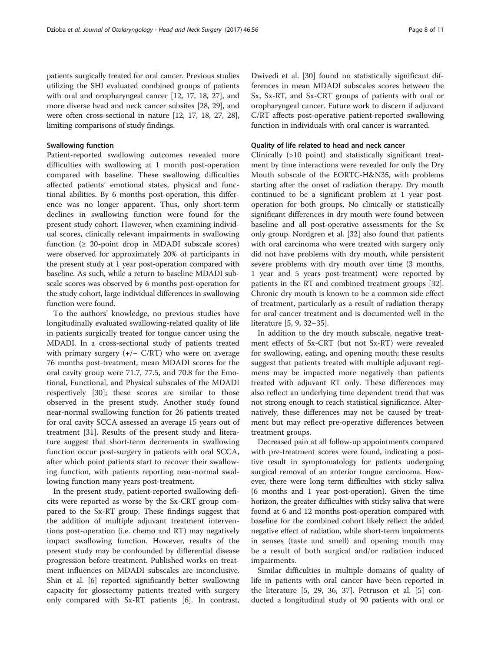patients surgically treated for oral cancer. Previous studies utilizing the SHI evaluated combined groups of patients with oral and oropharyngeal cancer [\[12, 17, 18](#page-9-0), [27\]](#page-9-0), and more diverse head and neck cancer subsites [\[28](#page-9-0), [29](#page-9-0)], and were often cross-sectional in nature [\[12](#page-9-0), [17, 18, 27, 28](#page-9-0)], limiting comparisons of study findings.

#### Swallowing function

Patient-reported swallowing outcomes revealed more difficulties with swallowing at 1 month post-operation compared with baseline. These swallowing difficulties affected patients' emotional states, physical and functional abilities. By 6 months post-operation, this difference was no longer apparent. Thus, only short-term declines in swallowing function were found for the present study cohort. However, when examining individual scores, clinically relevant impairments in swallowing function  $(≥ 20$ -point drop in MDADI subscale scores) were observed for approximately 20% of participants in the present study at 1 year post-operation compared with baseline. As such, while a return to baseline MDADI subscale scores was observed by 6 months post-operation for the study cohort, large individual differences in swallowing function were found.

To the authors' knowledge, no previous studies have longitudinally evaluated swallowing-related quality of life in patients surgically treated for tongue cancer using the MDADI. In a cross-sectional study of patients treated with primary surgery  $(+/- C/RT)$  who were on average 76 months post-treatment, mean MDADI scores for the oral cavity group were 71.7, 77.5, and 70.8 for the Emotional, Functional, and Physical subscales of the MDADI respectively [[30\]](#page-9-0); these scores are similar to those observed in the present study. Another study found near-normal swallowing function for 26 patients treated for oral cavity SCCA assessed an average 15 years out of treatment [\[31\]](#page-10-0). Results of the present study and literature suggest that short-term decrements in swallowing function occur post-surgery in patients with oral SCCA, after which point patients start to recover their swallowing function, with patients reporting near-normal swallowing function many years post-treatment.

In the present study, patient-reported swallowing deficits were reported as worse by the Sx-CRT group compared to the Sx-RT group. These findings suggest that the addition of multiple adjuvant treatment interventions post-operation (i.e. chemo and RT) may negatively impact swallowing function. However, results of the present study may be confounded by differential disease progression before treatment. Published works on treatment influences on MDADI subscales are inconclusive. Shin et al. [[6\]](#page-9-0) reported significantly better swallowing capacity for glossectomy patients treated with surgery only compared with Sx-RT patients [\[6\]](#page-9-0). In contrast, Dwivedi et al. [[30\]](#page-9-0) found no statistically significant differences in mean MDADI subscales scores between the Sx, Sx-RT, and Sx-CRT groups of patients with oral or oropharyngeal cancer. Future work to discern if adjuvant C/RT affects post-operative patient-reported swallowing function in individuals with oral cancer is warranted.

#### Quality of life related to head and neck cancer

Clinically (>10 point) and statistically significant treatment by time interactions were revealed for only the Dry Mouth subscale of the EORTC-H&N35, with problems starting after the onset of radiation therapy. Dry mouth continued to be a significant problem at 1 year postoperation for both groups. No clinically or statistically significant differences in dry mouth were found between baseline and all post-operative assessments for the Sx only group. Nordgren et al. [\[32](#page-10-0)] also found that patients with oral carcinoma who were treated with surgery only did not have problems with dry mouth, while persistent severe problems with dry mouth over time (3 months, 1 year and 5 years post-treatment) were reported by patients in the RT and combined treatment groups [\[32](#page-10-0)]. Chronic dry mouth is known to be a common side effect of treatment, particularly as a result of radiation therapy for oral cancer treatment and is documented well in the literature [\[5](#page-9-0), [9](#page-9-0), [32](#page-10-0)–[35\]](#page-10-0).

In addition to the dry mouth subscale, negative treatment effects of Sx-CRT (but not Sx-RT) were revealed for swallowing, eating, and opening mouth; these results suggest that patients treated with multiple adjuvant regimens may be impacted more negatively than patients treated with adjuvant RT only. These differences may also reflect an underlying time dependent trend that was not strong enough to reach statistical significance. Alternatively, these differences may not be caused by treatment but may reflect pre-operative differences between treatment groups.

Decreased pain at all follow-up appointments compared with pre-treatment scores were found, indicating a positive result in symptomatology for patients undergoing surgical removal of an anterior tongue carcinoma. However, there were long term difficulties with sticky saliva (6 months and 1 year post-operation). Given the time horizon, the greater difficulties with sticky saliva that were found at 6 and 12 months post-operation compared with baseline for the combined cohort likely reflect the added negative effect of radiation, while short-term impairments in senses (taste and smell) and opening mouth may be a result of both surgical and/or radiation induced impairments.

Similar difficulties in multiple domains of quality of life in patients with oral cancer have been reported in the literature [\[5](#page-9-0), [29](#page-9-0), [36, 37\]](#page-10-0). Petruson et al. [[5\]](#page-9-0) conducted a longitudinal study of 90 patients with oral or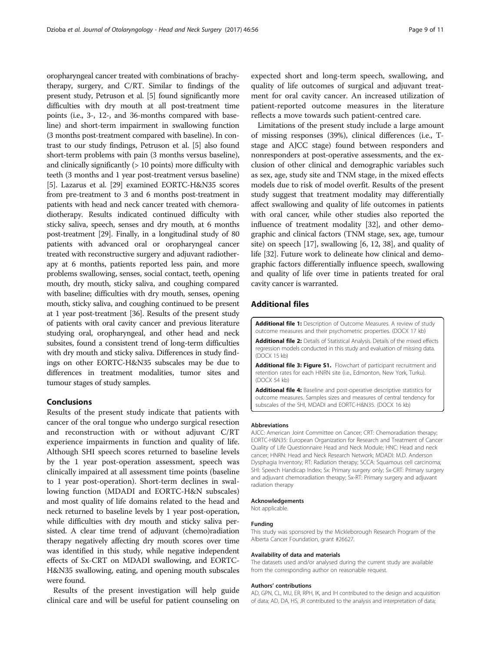<span id="page-8-0"></span>oropharyngeal cancer treated with combinations of brachytherapy, surgery, and C/RT. Similar to findings of the present study, Petruson et al. [\[5\]](#page-9-0) found significantly more difficulties with dry mouth at all post-treatment time points (i.e., 3-, 12-, and 36-months compared with baseline) and short-term impairment in swallowing function (3 months post-treatment compared with baseline). In contrast to our study findings, Petruson et al. [\[5](#page-9-0)] also found short-term problems with pain (3 months versus baseline), and clinically significantly (> 10 points) more difficulty with teeth (3 months and 1 year post-treatment versus baseline) [[5](#page-9-0)]. Lazarus et al. [\[29](#page-9-0)] examined EORTC-H&N35 scores from pre-treatment to 3 and 6 months post-treatment in patients with head and neck cancer treated with chemoradiotherapy. Results indicated continued difficulty with sticky saliva, speech, senses and dry mouth, at 6 months post-treatment [\[29\]](#page-9-0). Finally, in a longitudinal study of 80 patients with advanced oral or oropharyngeal cancer treated with reconstructive surgery and adjuvant radiotherapy at 6 months, patients reported less pain, and more problems swallowing, senses, social contact, teeth, opening mouth, dry mouth, sticky saliva, and coughing compared with baseline; difficulties with dry mouth, senses, opening mouth, sticky saliva, and coughing continued to be present at 1 year post-treatment [\[36\]](#page-10-0). Results of the present study of patients with oral cavity cancer and previous literature studying oral, oropharyngeal, and other head and neck subsites, found a consistent trend of long-term difficulties with dry mouth and sticky saliva. Differences in study findings on other EORTC-H&N35 subscales may be due to differences in treatment modalities, tumor sites and tumour stages of study samples.

#### Conclusions

Results of the present study indicate that patients with cancer of the oral tongue who undergo surgical resection and reconstruction with or without adjuvant C/RT experience impairments in function and quality of life. Although SHI speech scores returned to baseline levels by the 1 year post-operation assessment, speech was clinically impaired at all assessment time points (baseline to 1 year post-operation). Short-term declines in swallowing function (MDADI and EORTC-H&N subscales) and most quality of life domains related to the head and neck returned to baseline levels by 1 year post-operation, while difficulties with dry mouth and sticky saliva persisted. A clear time trend of adjuvant (chemo)radiation therapy negatively affecting dry mouth scores over time was identified in this study, while negative independent effects of Sx-CRT on MDADI swallowing, and EORTC-H&N35 swallowing, eating, and opening mouth subscales were found.

Results of the present investigation will help guide clinical care and will be useful for patient counseling on expected short and long-term speech, swallowing, and quality of life outcomes of surgical and adjuvant treatment for oral cavity cancer. An increased utilization of patient-reported outcome measures in the literature reflects a move towards such patient-centred care.

Limitations of the present study include a large amount of missing responses (39%), clinical differences (i.e., Tstage and AJCC stage) found between responders and nonresponders at post-operative assessments, and the exclusion of other clinical and demographic variables such as sex, age, study site and TNM stage, in the mixed effects models due to risk of model overfit. Results of the present study suggest that treatment modality may differentially affect swallowing and quality of life outcomes in patients with oral cancer, while other studies also reported the influence of treatment modality [\[32](#page-10-0)], and other demographic and clinical factors (TNM stage, sex, age, tumour site) on speech [\[17](#page-9-0)], swallowing [[6](#page-9-0), [12](#page-9-0), [38](#page-10-0)], and quality of life [[32\]](#page-10-0). Future work to delineate how clinical and demographic factors differentially influence speech, swallowing and quality of life over time in patients treated for oral cavity cancer is warranted.

#### Additional files

[Additional file 1:](dx.doi.org/10.1186/s40463-017-0234-y) Description of Outcome Measures. A review of study outcome measures and their psychometric properties. (DOCX 17 kb)

[Additional file 2:](dx.doi.org/10.1186/s40463-017-0234-y) Details of Statistical Analysis. Details of the mixed effects regression models conducted in this study and evaluation of missing data. (DOCX 15 kb)

[Additional file 3: Figure S1.](dx.doi.org/10.1186/s40463-017-0234-y) Flowchart of participant recruitment and retention rates for each HNRN site (i.e., Edmonton, New York, Turku). (DOCX 54 kb)

[Additional file 4:](dx.doi.org/10.1186/s40463-017-0234-y) Baseline and post-operative descriptive statistics for outcome measures. Samples sizes and measures of central tendency for subscales of the SHI, MDADI and EORTC-H&N35. (DOCX 16 kb)

#### Abbreviations

AJCC: American Joint Committee on Cancer; CRT: Chemoradiation therapy; EORTC-H&N35: European Organization for Research and Treatment of Cancer Quality of Life Questionnaire Head and Neck Module; HNC: Head and neck cancer; HNRN: Head and Neck Research Network; MDADI: M.D. Anderson Dysphagia Inventory; RT: Radiation therapy; SCCA: Squamous cell carcinoma; SHI: Speech Handicap Index; Sx: Primary surgery only; Sx-CRT: Primary surgery and adjuvant chemoradiation therapy; Sx-RT: Primary surgery and adjuvant radiation therapy

#### Acknowledgements

Not applicable.

#### Funding

This study was sponsored by the Mickleborough Research Program of the Alberta Cancer Foundation, grant #26627.

#### Availability of data and materials

The datasets used and/or analysed during the current study are available from the corresponding author on reasonable request.

#### Authors' contributions

AD, GPN, CL, MU, ER, RPH, IK, and IH contributed to the design and acquisition of data; AD, DA, HS, JR contributed to the analysis and interpretation of data;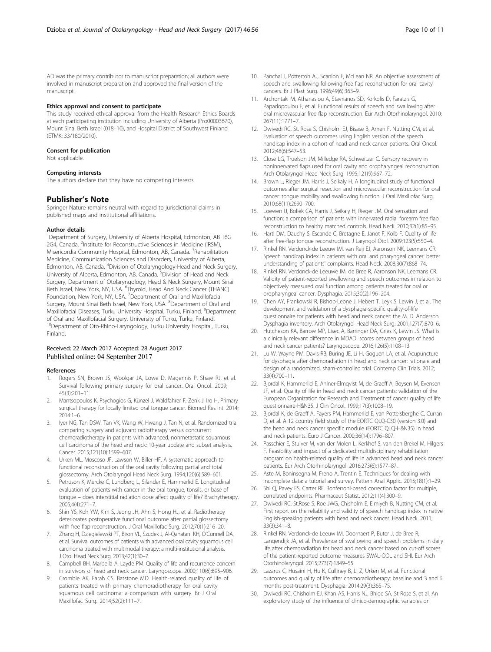<span id="page-9-0"></span>AD was the primary contributor to manuscript preparation; all authors were involved in manuscript preparation and approved the final version of the manuscript.

#### Ethics approval and consent to participate

This study received ethical approval from the Health Research Ethics Boards at each participating institution including University of Alberta (Pro00003670), Mount Sinai Beth Israel (018–10), and Hospital District of Southwest Finland (ETMK: 33/180/2010).

#### Consent for publication

Not applicable.

#### Competing interests

The authors declare that they have no competing interests.

#### Publisher's Note

Springer Nature remains neutral with regard to jurisdictional claims in published maps and institutional affiliations.

#### Author details

<sup>1</sup>Department of Surgery, University of Alberta Hospital, Edmonton, AB T6G 2G4, Canada. <sup>2</sup>Institute for Reconstructive Sciences in Medicine (iRSM), Misericordia Community Hospital, Edmonton, AB, Canada. <sup>3</sup>Rehabilitation Medicine, Communication Sciences and Disorders, University of Alberta, Edmonton, AB, Canada. <sup>4</sup>Division of Otolaryngology-Head and Neck Surgery, University of Alberta, Edmonton, AB, Canada.<sup>5</sup> Division of Head and Neck Surgery, Department of Otolaryngology, Head & Neck Surgery, Mount Sinai Beth Israel, New York, NY, USA. <sup>6</sup>Thyroid, Head And Neck Cancer (THANC) Foundation, New York, NY, USA. <sup>7</sup> Department of Oral and Maxillofacial Surgery, Mount Sinai Beth Israel, New York, USA. <sup>8</sup>Department of Oral and Maxillofacial Diseases, Turku University Hospital, Turku, Finland. <sup>9</sup>Department of Oral and Maxillofacial Surgery, University of Turku, Turku, Finland. <sup>10</sup>Department of Oto-Rhino-Laryngology, Turku University Hospital, Turku, Finland.

#### Received: 22 March 2017 Accepted: 28 August 2017 Published online: 04 September 2017

#### References

- 1. Rogers SN, Brown JS, Woolgar JA, Lowe D, Magennis P, Shaw RJ, et al. Survival following primary surgery for oral cancer. Oral Oncol. 2009; 45(3):201–11.
- 2. Mantsopoulos K, Psychogios G, Künzel J, Waldfahrer F, Zenk J, Iro H. Primary surgical therapy for locally limited oral tongue cancer. Biomed Res Int. 2014; 2014:1–6.
- Iyer NG, Tan DSW, Tan VK, Wang W, Hwang J, Tan N, et al. Randomized trial comparing surgery and adjuvant radiotherapy versus concurrent chemoradiotherapy in patients with advanced, nonmetastatic squamous cell carcinoma of the head and neck: 10-year update and subset analysis. Cancer. 2015;121(10):1599–607.
- 4. Urken ML, Moscoso JF, Lawson W, Biller HF. A systematic approach to functional reconstruction of the oral cavity following partial and total glossectomy. Arch Otolaryngol Head Neck Surg. 1994;120(6):589–601.
- 5. Petruson K, Mercke C, Lundberg L, Silander E, Hammerlid E. Longitudinal evaluation of patients with cancer in the oral tongue, tonsils, or base of tongue – does interstitial radiation dose affect quality of life? Brachytherapy. 2005;4(4):271–7.
- Shin YS, Koh YW, Kim S, Jeong JH, Ahn S, Hong HJ, et al. Radiotherapy deteriorates postoperative functional outcome after partial glossectomy with free flap reconstruction. J Oral Maxillofac Surg. 2012;70(1):216–20.
- 7. Zhang H, Dziegielewski PT, Biron VL, Szudek J, Al-Qahatani KH, O'Connell DA, et al. Survival outcomes of patients with advanced oral cavity squamous cell carcinoma treated with multimodal therapy: a multi-institutional analysis. J Otol Head Neck Surg. 2013;42(1):30–7.
- 8. Campbell BH, Marbella A, Layde PM. Quality of life and recurrence concern in survivors of head and neck cancer. Laryngoscope. 2000;110(6):895–906.
- 9. Crombie AK, Farah CS, Batstone MD. Health-related quality of life of patients treated with primary chemoradiotherapy for oral cavity squamous cell carcinoma: a comparison with surgery. Br J Oral Maxillofac Surg. 2014;52(2):111–7.
- 10. Panchal J, Potterton AJ, Scanlon E, McLean NR. An objective assessment of speech and swallowing following free flap reconstruction for oral cavity cancers. Br J Plast Surg. 1996;49(6):363–9.
- 11. Archontaki M, Athanasiou A, Stavrianos SD, Korkolis D, Faratzis G, Papadopoulou F, et al. Functional results of speech and swallowing after oral microvascular free flap reconstruction. Eur Arch Otorhinolaryngol. 2010; 267(11):1771–7.
- 12. Dwivedi RC, St. Rose S, Chisholm EJ, Bisase B, Amen F, Nutting CM, et al. Evaluation of speech outcomes using English version of the speech handicap index in a cohort of head and neck cancer patients. Oral Oncol. 2012;48(6):547–53.
- 13. Close LG, Truelson JM, Milledge RA, Schweitzer C. Sensory recovery in noninnervated flaps used for oral cavity and oropharyngeal reconstruction. Arch Otolaryngol Head Neck Surg. 1995;121(9):967–72.
- 14. Brown L, Rieger JM, Harris J, Seikaly H. A longitudinal study of functional outcomes after surgical resection and microvascular reconstruction for oral cancer: tongue mobility and swallowing function. J Oral Maxillofac Surg. 2010;68(11):2690–700.
- 15. Loewen IJ, Boliek CA, Harris J, Seikaly H, Rieger JM. Oral sensation and function: a comparison of patients with innervated radial forearm free flap reconstruction to healthy matched controls. Head Neck. 2010;32(1):85–95.
- 16. Hartl DM, Dauchy S, Escande C, Bretagne E, Janot F, Kolb F. Quality of life after free-flap tongue reconstruction. J Laryngol Otol. 2009;123(5):550–4.
- 17. Rinkel RN, Verdonck-de Leeuw IM, van Reij EJ, Aaronson NK, Leemans CR. Speech handicap index in patients with oral and pharyngeal cancer: better understanding of patients' complaints. Head Neck. 2008;30(7):868–74.
- 18. Rinkel RN, Verdonck-de Leeuwe IM, de Bree R, Aaronson NK, Leemans CR. Validity of patient-reported swallowing and speech outcomes in relation to objectively measured oral function among patients treated for oral or oropharyngeal cancer. Dysphagia. 2015;30(2):196–204.
- 19. Chen AY, Frankowski R, Bishop-Leone J, Hebert T, Leyk S, Lewin J, et al. The development and validation of a dysphagia-specific quality-of-life questionnaire for patients with head and neck cancer: the M. D. Anderson Dysphagia inventory. Arch Otolaryngol Head Neck Surg. 2001;127(7):870–6.
- 20. Hutcheson KA, Barrow MP, Lisec A, Barringer DA, Gries K, Lewin JS. What is a clinically relevant difference in MDADI scores between groups of head and neck cancer patients? Laryngoscope. 2016;126(5):1108–13.
- 21. Lu W, Wayne PM, Davis RB, Buring JE, Li H, Goguen LA, et al. Acupuncture for dysphagia after chemoradiation in head and neck cancer: rationale and design of a randomized, sham-controlled trial. Contemp Clin Trials. 2012; 33(4):700–11.
- 22. Bjordal K, Hammerlid E, Ahlner-Elmqvist M, de Graeff A, Boysen M, Evensen JF, et al. Quality of life in head and neck cancer patients: validation of the European Organization for Research and Treatment of cancer quality of life questionnaire-H&N35. J Clin Oncol. 1999;17(3):1008–19.
- 23. Bjordal K, de Graeff A, Fayers PM, Hammerlid E, van Pottelsberghe C, Curran D, et al. A 12 country field study of the EORTC QLQ-C30 (version 3.0) and the head and neck cancer specific module (EORTC QLQ-H&N35) in head and neck patients. Euro J Cancer. 2000;36(14):1796–807.
- 24. Passchier E, Stuiver M, van der Molen L, Kerkhof S, van den Brekel M, Hilgers F. Feasibility and impact of a dedicated multidisciplinary rehabilitation program on health-related quality of life in advanced head and neck cancer patients. Eur Arch Otorhinolaryngol. 2016;273(6):1577–87.
- 25. Aste M, Boninsegna M, Freno A, Trentin E. Techniques for dealing with incomplete data: a tutorial and survey. Pattern Anal Applic. 2015;18(1):1–29.
- 26. Shi Q, Pavey ES, Carter RE. Bonferroni-based correction factor for multiple, correlated endpoints. Pharmaceut Statist. 2012;11(4):300–9.
- 27. Dwivedi RC, St.Rose S, Roe JWG, Chisholm E, Elmiyeh B, Nutting CM, et al. First report on the reliability and validity of speech handicap index in native English-speaking patients with head and neck cancer. Head Neck. 2011; 33(3):341–8.
- 28. Rinkel RN, Verdonck-de Leeuw IM, Doornaert P, Buter J, de Bree R, Langendijk JA, et al. Prevalence of swallowing and speech problems in daily life after chemoradiation for head and neck cancer based on cut-off scores of the patient-reported outcome measures SWAL-QOL and SHI. Eur Arch Otorhinolaryngol. 2015;273(7):1849–55.
- 29. Lazarus C, Husaini H, Hu K, Culliney B, Li Z, Urken M, et al. Functional outcomes and quality of life after chemoradiotherapy: baseline and 3 and 6 months post-treatment. Dysphagia. 2014;29(3):365–75.
- 30. Dwivedi RC, Chisholm EJ, Khan AS, Harris NJ, Bhide SA, St Rose S, et al. An exploratory study of the influence of clinico-demographic variables on